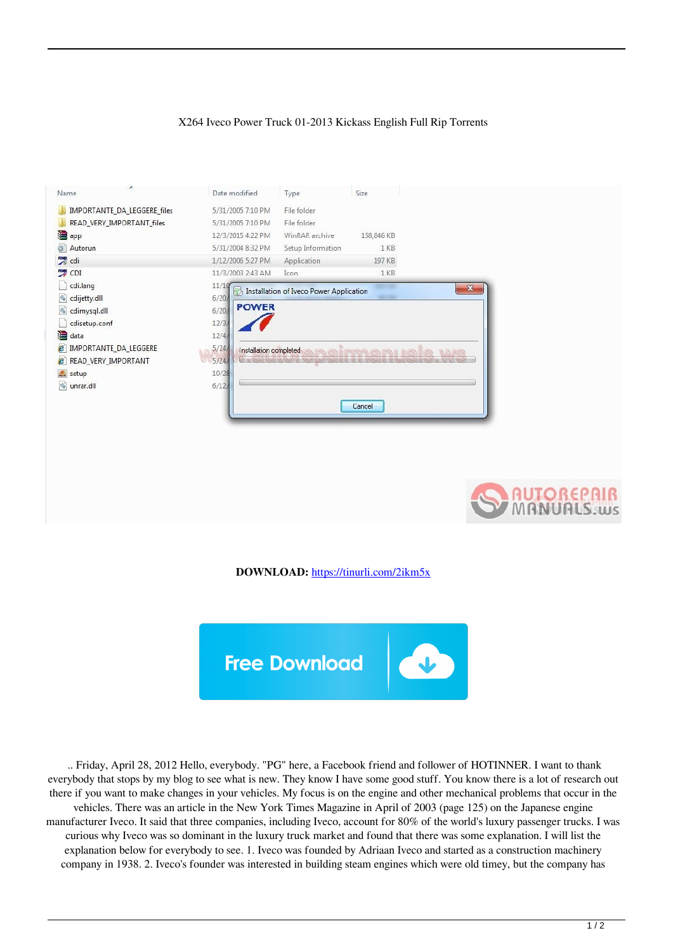## X264 Iveco Power Truck 01-2013 Kickass English Full Rip Torrents

| ×.<br>Name                     | Date modified                   | Type                                    | Size       |              |
|--------------------------------|---------------------------------|-----------------------------------------|------------|--------------|
| IMPORTANTE_DA_LEGGERE_files    | 5/31/2005 7:10 PM               | File folder                             |            |              |
| READ_VERY_IMPORTANT_files      | 5/31/2005 7:10 PM               | File folder                             |            |              |
| app 3                          | 12/3/2015 4:22 PM               | WinRAR archive                          | 158,846 KB |              |
| ö<br>Autorun                   | 5/31/2004 8:32 PM               | Setup Information                       | 1 KB       |              |
| cdi <sup>n</sup>               | 1/12/2006 5:27 PM               | Application                             | 197 KB     |              |
| CDI <sup>CDI</sup>             | 11/3/2003 2:43 AM               | Icon                                    | 1 KB       |              |
| cdi.lang                       | 11/10                           | Installation of Iveco Power Application |            | $\mathbf{x}$ |
| cdijetty.dll                   | 6/20/                           |                                         |            |              |
| dimysql.dll                    | <b>POWER</b><br>6/20            |                                         |            |              |
| cdisetup.conf                  | 12/3                            |                                         |            |              |
| data                           | 12/4/                           |                                         |            |              |
| <b>P</b> IMPORTANTE DA LEGGERE | 5/24/<br>Installation completed |                                         |            | <b>MARGE</b> |
| <b>P</b> READ_VERY_IMPORTANT   | 5/24/                           |                                         |            |              |
| setup                          | 10/28                           |                                         |            |              |
| o unrar.dll                    | 6/12                            |                                         |            |              |
|                                |                                 |                                         | Cancel     |              |
|                                |                                 |                                         |            |              |



**DOWNLOAD:** <https://tinurli.com/2ikm5x>



 .. Friday, April 28, 2012 Hello, everybody. "PG" here, a Facebook friend and follower of HOTINNER. I want to thank everybody that stops by my blog to see what is new. They know I have some good stuff. You know there is a lot of research out there if you want to make changes in your vehicles. My focus is on the engine and other mechanical problems that occur in the vehicles. There was an article in the New York Times Magazine in April of 2003 (page 125) on the Japanese engine manufacturer Iveco. It said that three companies, including Iveco, account for 80% of the world's luxury passenger trucks. I was curious why Iveco was so dominant in the luxury truck market and found that there was some explanation. I will list the explanation below for everybody to see. 1. Iveco was founded by Adriaan Iveco and started as a construction machinery company in 1938. 2. Iveco's founder was interested in building steam engines which were old timey, but the company has